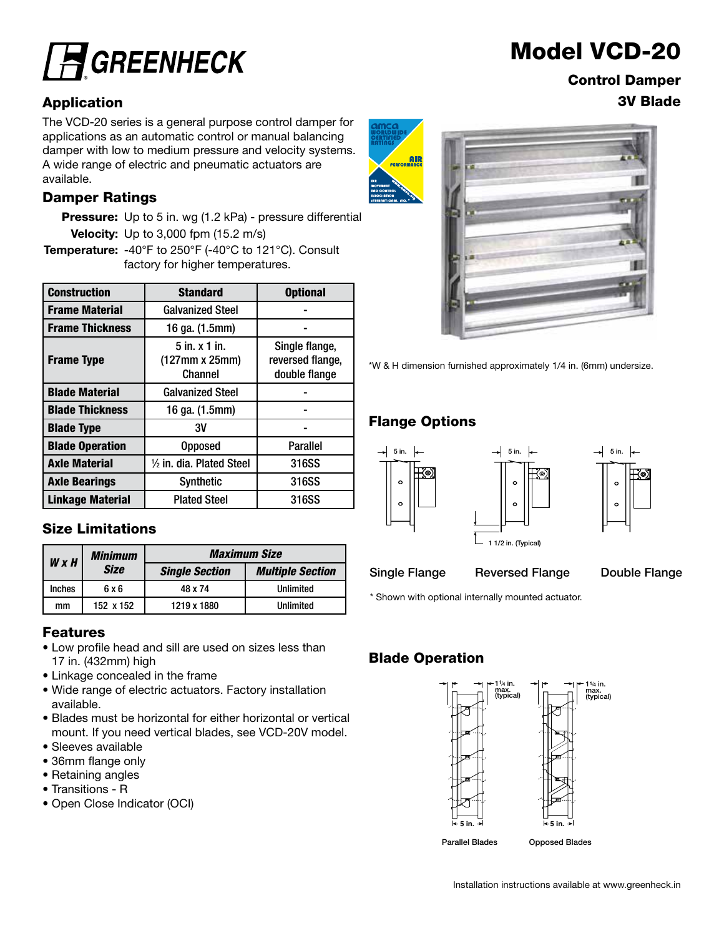

The VCD-20 series is a general purpose control damper for applications as an automatic control or manual balancing damper with low to medium pressure and velocity systems. A wide range of electric and pneumatic actuators are available.

#### Damper Ratings

**Pressure:** Up to 5 in. wg (1.2 kPa) - pressure differential Velocity: Up to 3,000 fpm (15.2 m/s)

Temperature: -40°F to 250°F (-40°C to 121°C). Consult factory for higher temperatures.

| <b>Construction</b>     | <b>Standard</b><br><b>Optional</b>                                                                    |                 |  |
|-------------------------|-------------------------------------------------------------------------------------------------------|-----------------|--|
| <b>Frame Material</b>   | <b>Galvanized Steel</b>                                                                               |                 |  |
| <b>Frame Thickness</b>  | 16 ga. (1.5mm)                                                                                        |                 |  |
| <b>Frame Type</b>       | $5$ in. $x$ 1 in.<br>Single flange,<br>(127mm x 25mm)<br>reversed flange,<br>Channel<br>double flange |                 |  |
| <b>Blade Material</b>   | <b>Galvanized Steel</b>                                                                               |                 |  |
| <b>Blade Thickness</b>  | 16 ga. (1.5mm)                                                                                        |                 |  |
| <b>Blade Type</b>       | 3V                                                                                                    |                 |  |
| <b>Blade Operation</b>  | <b>Opposed</b>                                                                                        | <b>Parallel</b> |  |
| <b>Axle Material</b>    | $\frac{1}{2}$ in. dia. Plated Steel                                                                   | 316SS           |  |
| <b>Axle Bearings</b>    | 316SS<br><b>Synthetic</b>                                                                             |                 |  |
| <b>Linkage Material</b> | <b>Plated Steel</b>                                                                                   | 316SS           |  |

#### Size Limitations

| <b>Minimum</b><br><b>WxH</b> |             | <b>Maximum Size</b>   |                         |  |  |  |
|------------------------------|-------------|-----------------------|-------------------------|--|--|--|
|                              | <b>Size</b> | <b>Single Section</b> | <b>Multiple Section</b> |  |  |  |
| <b>Inches</b>                | 6 x 6       | 48 x 74               | Unlimited               |  |  |  |
| mm                           | 152 x 152   | 1219 x 1880           | Unlimited               |  |  |  |

#### Features

- Low profile head and sill are used on sizes less than 17 in. (432mm) high
- Linkage concealed in the frame
- Wide range of electric actuators. Factory installation available.
- Blades must be horizontal for either horizontal or vertical mount. If you need vertical blades, see VCD-20V model.
- Sleeves available
- 36mm flange only
- Retaining angles
- Transitions R
- Open Close Indicator (OCI)



Control Damper Application 3V Blade



\*W & H dimension furnished approximately 1/4 in. (6mm) undersize.

### Flange Options





Single Flange Reversed Flange Double Flange

\* Shown with optional internally mounted actuator.

### Blade Operation

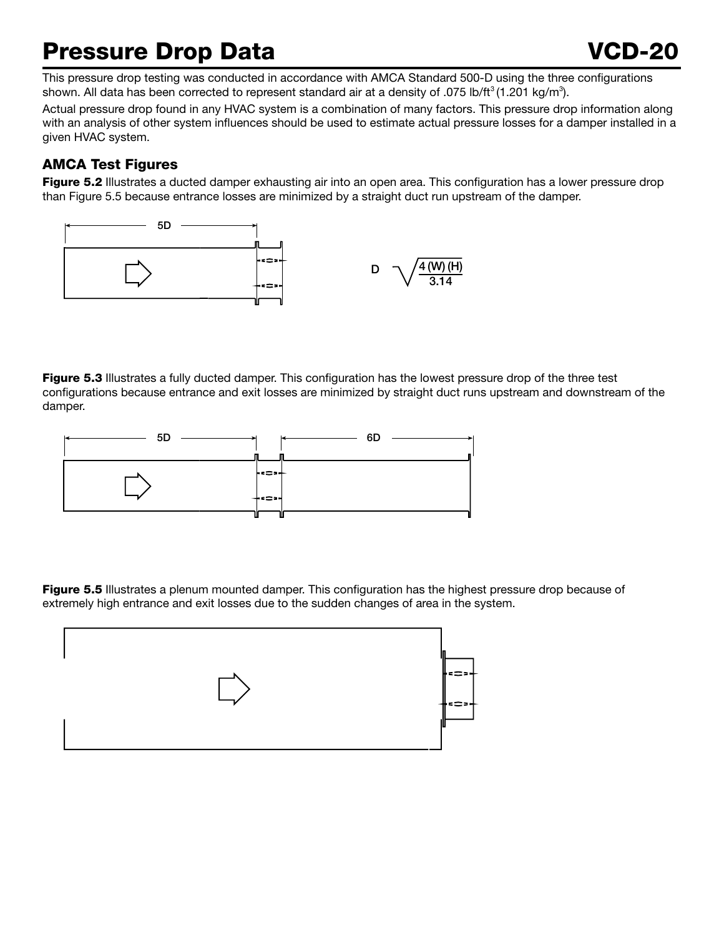## Pressure Drop Data VCD-20

This pressure drop testing was conducted in accordance with AMCA Standard 500-D using the three configurations shown. All data has been corrected to represent standard air at a density of .075 lb/ft<sup>3</sup> (1.201 kg/m<sup>3</sup>).

Actual pressure drop found in any HVAC system is a combination of many factors. This pressure drop information along with an analysis of other system influences should be used to estimate actual pressure losses for a damper installed in a given HVAC system.

### AMCA Test Figures

Figure 5.2 Illustrates a ducted damper exhausting air into an open area. This configuration has a lower pressure drop than Figure 5.5 because entrance losses are minimized by a straight duct run upstream of the damper.



Figure 5.3 Illustrates a fully ducted damper. This configuration has the lowest pressure drop of the three test configurations because entrance and exit losses are minimized by straight duct runs upstream and downstream of the damper.



extremely high entrance and exit losses due to the sudden changes of area in the system.<br>. **Figure 5.5** Illustrates a plenum mounted damper. This configuration has the highest pressure drop because of

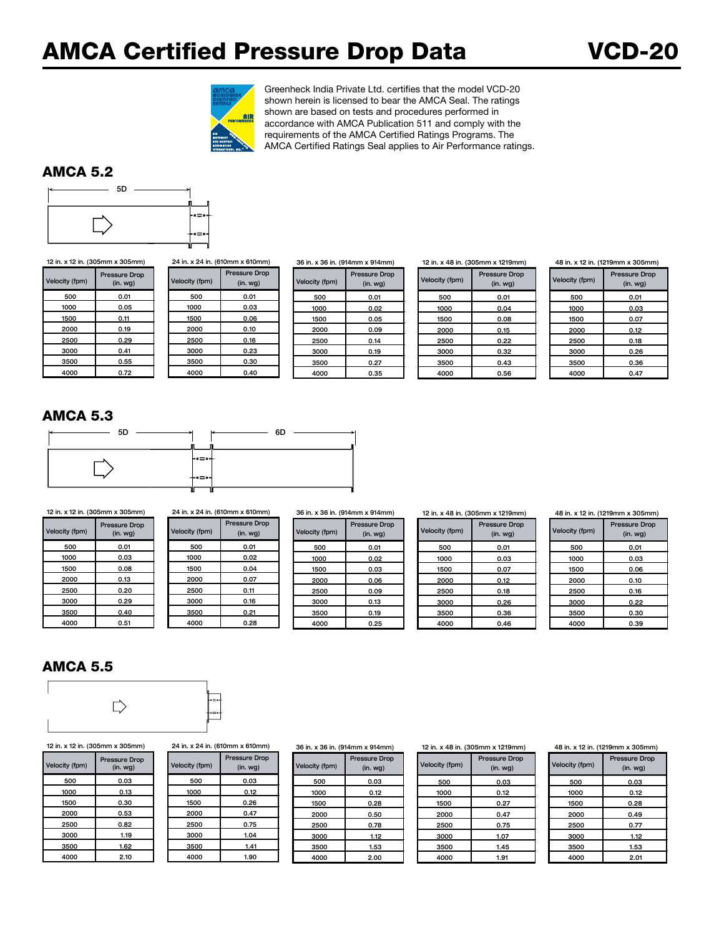### AMCA Certified Pressure Drop Data VCD-20



Greenheck India Private Ltd. certifies that the model VCD-20 shown herein is licensed to bear the AMCA Seal. The ratings shown are based on tests and procedures performed in accordance with AMCA Publication 511 and comply with the requirements of the AMCA Certified Ratings Programs. The AMCA Certified Ratings Seal applies to Air Performance ratings.

#### AMCA 5.2



Velocity (fpm) Pressure Drop<br>(in. wg)

| ity (fpm) | <b>Pressure Drop</b><br>(in. <i>wq</i> ) | Velocity (fpm) | <b>Pressure Drop</b><br>(in. <i>wg</i> ) | Velocity (fpm) | <b>Pressure Drop</b><br>(in. <i>wg</i> ) |
|-----------|------------------------------------------|----------------|------------------------------------------|----------------|------------------------------------------|
| 500       | 0.01                                     | 500            | 0.01                                     | 500            | 0.01                                     |
| 1000      | 0.05                                     | 1000           | 0.03                                     | 1000           | 0.02                                     |
| 1500      | 0.11                                     | 1500           | 0.06                                     | 1500           | 0.05                                     |
| 2000      | 0.19                                     | 2000           | 0.10                                     | 2000           | 0.09                                     |
| 2500      | 0.29                                     | 2500           | 0.16                                     | 2500           | 0.14                                     |
| 3000      | 0.41                                     | 3000           | 0.23                                     | 3000           | 0.19                                     |
| 3500      | 0.55                                     | 3500           | 0.30                                     | 3500           | 0.27                                     |
| 4000      | 0.72                                     | 4000           | 0.40                                     | 4000           | 0.35                                     |

12 in. x 48 in. (305mm x 1219mm)

Velocity (fpm) Pressure Drop (in. wg) 500 0.01 1000 0.04 1500 0.08 2000 0.15 2500 0.22 3000 0.32 3500 0.43 4000 0.56

48 in. x 12 in. (1219mm x 305mm)

| Velocity (fpm) | <b>Pressure Drop</b><br>$(in.$ wg $)$ |
|----------------|---------------------------------------|
| 500            | 0.01                                  |
| 1000           | 0.03                                  |
| 1500           | 0.07                                  |
| 2000           | 0.12                                  |
| 2500           | 0.18                                  |
| 3000           | 0.26                                  |
| 3500           | 0.36                                  |
| 4000           | 0.47                                  |

#### AMCA 5.3

| 5D | 6D<br>м |
|----|---------|
|    |         |
|    | ⊦•⇔⊶    |
|    | ⊦∝⇔⊶    |

5D Velocity (fpm) Pressure Drop 4000 | 0.51 | 4000 | 0.28 | | 4000 | 0.25 12 in. x 12 in. (305mm x 305mm) 24 in. x 24 in. (610mm x 610mm) 36 in. x 36 in. (914mm x 914mm)

| x 12 in. (305mm x 305mm) |                                 | 24 in. x 24 in. (610mm x 610mm) |                                          |  | 36 in. x 36 in. (914mm x 914) |                       |  |
|--------------------------|---------------------------------|---------------------------------|------------------------------------------|--|-------------------------------|-----------------------|--|
| ity (fpm)                | <b>Pressure Drop</b><br>(in.wg) | Velocity (fpm)                  | <b>Pressure Drop</b><br>(in. <i>wq</i> ) |  | Velocity (fpm)                | Pressure D<br>(in. wg |  |
| 500                      | 0.01                            | 500                             | 0.01                                     |  | 500                           | 0.01                  |  |
| 1000                     | 0.03                            | 1000                            | 0.02                                     |  | 1000                          | 0.02                  |  |
| 1500                     | 0.08                            | 1500                            | 0.04                                     |  | 1500                          | 0.03                  |  |
| 2000                     | 0.13                            | 2000                            | 0.07                                     |  | 2000                          | 0.06                  |  |
| 2500                     | 0.20                            | 2500                            | 0.11                                     |  | 2500                          | 0.09                  |  |
| 3000                     | 0.29                            | 3000                            | 0.16                                     |  | 3000                          | 0.13                  |  |
| 3500                     | 0.40                            | 3500                            | 0.21                                     |  | 3500                          | 0.19                  |  |
| 4000                     | 0.51                            | 4000                            | 0.28                                     |  | 4000                          | 0.25                  |  |

| <b>Velocity (fpm)</b> | <b>Pressure Drop</b><br>$(in.$ wg $)$ |
|-----------------------|---------------------------------------|
| 500                   | 0.01                                  |
| 1000                  | 0.02                                  |
| 1500                  | 0.03                                  |
| 2000                  | 0.06                                  |
| 2500                  | 0.09                                  |
| 3000                  | 0.13                                  |
| 3500                  | 0.19                                  |
| 4000                  | 0.25                                  |

12 in. x 48 in. (305mm x 1219mm)

| Velocity (fpm) | <b>Pressure Drop</b><br>(in. <i>wg</i> ) |
|----------------|------------------------------------------|
| 500            | 0.01                                     |
| 1000           | 0.03                                     |
| 1500           | 0.07                                     |
| 2000           | 0.12                                     |
| 2500           | 0.18                                     |
| 3000           | 0.26                                     |
| 3500           | 0.36                                     |
| 4000           | 0.46                                     |

48 in. x 12 in. (1219mm x 305mm)

| Velocity (fpm) | <b>Pressure Drop</b><br>$(in.$ wg $)$ |
|----------------|---------------------------------------|
| 500            | 0.01                                  |
| 1000           | 0.03                                  |
| 1500           | 0.06                                  |
| 2000           | 0.10                                  |
| 2500           | 0.16                                  |
| 3000           | 0.22                                  |
| 3500           | 0.30                                  |
| 4000           | 0.39                                  |
|                |                                       |

#### AMCA 5.5



12 in. x 12 in. (305mm x 305mm) 24 in. x 24 in. (610mm x 610mm) 36 in. x 36 in. (914mm x 914mm)

| Velocity (fpm) | <b>Pressure Drop</b><br>$(in.$ wg $)$ |  |
|----------------|---------------------------------------|--|
| 500            | 0.03                                  |  |
| 1000           | 0.13                                  |  |
| 1500           | 0.30                                  |  |
| 2000           | 0.53                                  |  |
| 2500           | 0.82                                  |  |
| 3000           | 1.19                                  |  |
| 3500           | 1.62                                  |  |
| 4000           | 2.10                                  |  |

|  |  |  |  |  |  | in. x 24 in. (610mm x 610m |  |  |  |
|--|--|--|--|--|--|----------------------------|--|--|--|
|--|--|--|--|--|--|----------------------------|--|--|--|

| ity (fpm) | <b>Pressure Drop</b><br>(in. <i>wg</i> ) | Velocity (fpm) | <b>Pressure Drop</b><br>(in. <i>wg</i> ) | Velocity (fpm) | Pressure D<br>(in. wg |
|-----------|------------------------------------------|----------------|------------------------------------------|----------------|-----------------------|
| 500       | 0.03                                     | 500            | 0.03                                     | 500            | 0.03                  |
| 1000      | 0.13                                     | 1000           | 0.12                                     | 1000           | 0.12                  |
| 1500      | 0.30                                     | 1500           | 0.26                                     | 1500           | 0.28                  |
| 2000      | 0.53                                     | 2000           | 0.47                                     | 2000           | 0.50                  |
| 2500      | 0.82                                     | 2500           | 0.75                                     | 2500           | 0.78                  |
| 3000      | 1.19                                     | 3000           | 1.04                                     | 3000           | 1.12                  |
| 3500      | 1.62                                     | 3500           | 1.41                                     | 3500           | 1.53                  |
| 4000      | 2.10                                     | 4000           | 1.90                                     | 4000           | 2.00                  |

| ssure Drop<br>$(in.$ wg $)$ | Velocity (fpm) | <b>Pressure Drop</b><br>$(in.$ wg $)$ |
|-----------------------------|----------------|---------------------------------------|
| 0.03                        | 500            | 0.03                                  |
| 0.12                        | 1000           | 0.12                                  |
| 0.26                        | 1500           | 0.28                                  |
| 0.47                        | 2000           | 0.50                                  |
| 0.75                        | 2500           | 0.78                                  |
| 1.04                        | 3000           | 1.12                                  |
| 1.41                        | 3500           | 1.53                                  |
| 1.90                        | 4000           | 2.00                                  |

12 in. x 48 in. (305mm x 1219mm)

| Velocity (fpm) | <b>Pressure Drop</b><br>$(in.$ wg $)$ |  |
|----------------|---------------------------------------|--|
| 500            | 0.03                                  |  |
| 1000           | 0.12                                  |  |
| 1500           | 0.27                                  |  |
| 2000           | 0.47                                  |  |
| 2500           | 0.75                                  |  |
| 3000           | 1.07                                  |  |
| 3500           | 1.45                                  |  |
| 4000           | 1.91                                  |  |

#### 48 in. x 12 in. (1219mm x 305mm)

| <b>Velocity (fpm)</b> | <b>Pressure Drop</b><br>(in. <i>wg</i> ) |
|-----------------------|------------------------------------------|
| 500                   | 0.03                                     |
| 1000                  | 0.12                                     |
| 1500                  | 0.28                                     |
| 2000                  | 0.49                                     |
| 2500                  | 0.77                                     |
| 3000                  | 1.12                                     |
| 3500                  | 1.53                                     |
| 4000                  | 2.01                                     |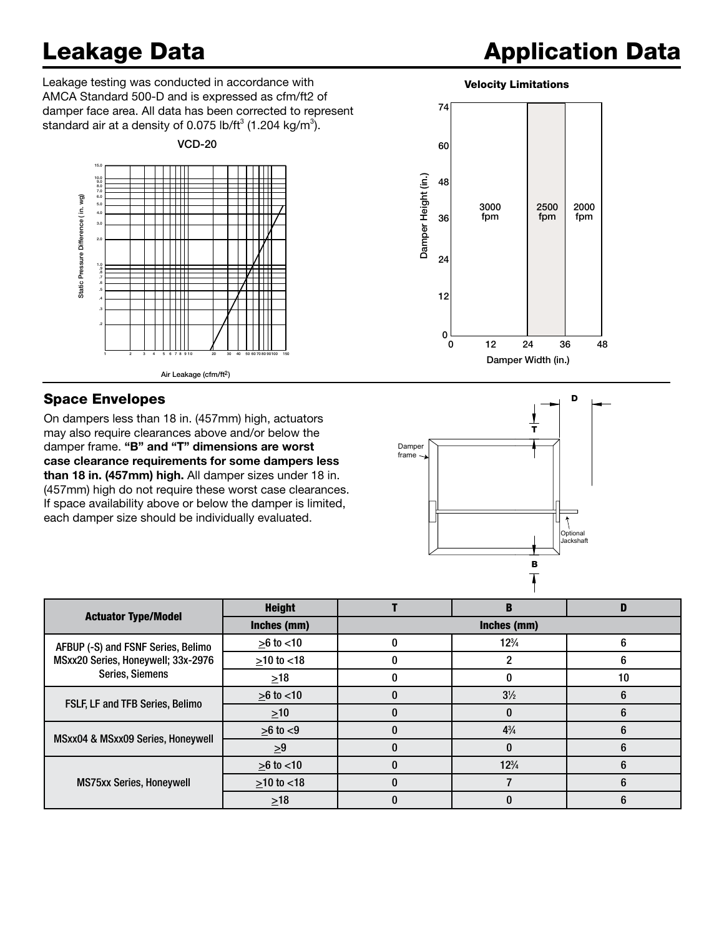## .2

## **Application Data**

Leakage testing was conducted in accordance with **Velocity Limitations** AMCA Standard 500-D and is expressed as cfm/ft2 of damper face area. All data has been corrected to represent standard air at a density of 0.075 lb/ft $^3$  (1.204 kg/m $^3$ ).



#### Space Envelopes

On dampers less than 18 in. (457mm) high, actuators may also require clearances above and/or below the damper frame. "B" and "T" dimensions are worst case clearance requirements for some dampers less than 18 in. (457mm) high. All damper sizes under 18 in. (457mm) high do not require these worst case clearances. If space availability above or below the damper is limited, each damper size should be individually evaluated.





|                                                                                             | <b>Height</b>     |             | B               |    |
|---------------------------------------------------------------------------------------------|-------------------|-------------|-----------------|----|
| <b>Actuator Type/Model</b>                                                                  | Inches (mm)       | Inches (mm) |                 |    |
| AFBUP (-S) and FSNF Series, Belimo<br>MSxx20 Series, Honeywell; 33x-2976<br>Series, Siemens | $≥6$ to <10       |             | $12\frac{3}{4}$ | 6  |
|                                                                                             | $>10$ to $< 18$   |             |                 | 6  |
|                                                                                             | $\geq 18$         |             |                 | 10 |
| FSLF, LF and TFB Series, Belimo                                                             | $>6$ to $< 10$    |             | $3\frac{1}{2}$  | 6  |
|                                                                                             | $\geq 10$         |             |                 |    |
| MSxx04 & MSxx09 Series, Honeywell                                                           | $\geq 6$ to $< 9$ |             | $4\frac{3}{4}$  |    |
|                                                                                             | $\geq 9$          |             |                 |    |
| <b>MS75xx Series, Honeywell</b>                                                             | $>6$ to $< 10$    |             | $12\frac{3}{4}$ | h  |
|                                                                                             | $≥10$ to <18      |             |                 | n  |
|                                                                                             | $\geq 18$         |             |                 | h  |